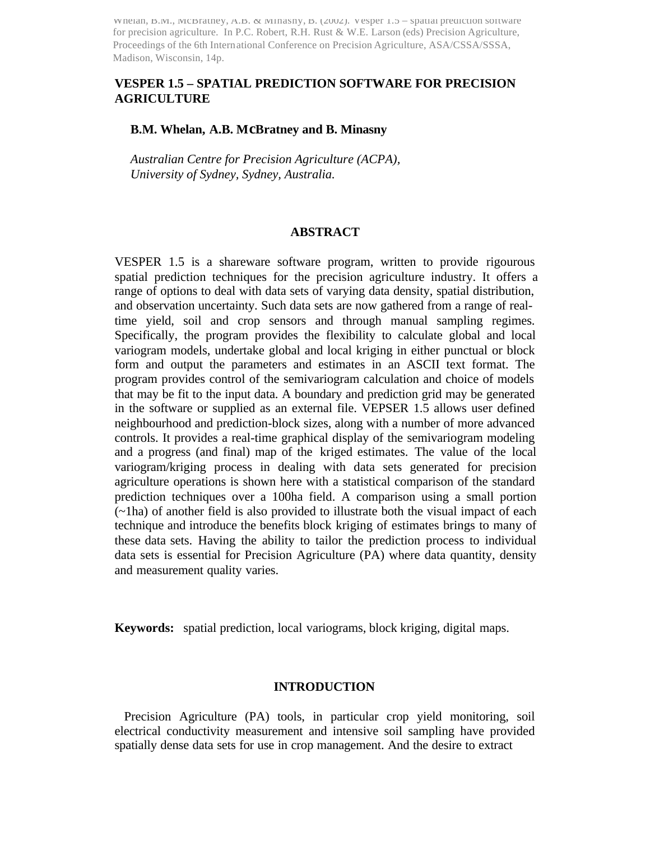Whelan, B.M., McBratney, A.B. & Minasny, B. (2002). Vesper 1.5 – spatial prediction software for precision agriculture. In P.C. Robert, R.H. Rust & W.E. Larson (eds) Precision Agriculture, Proceedings of the 6th International Conference on Precision Agriculture, ASA/CSSA/SSSA, Madison, Wisconsin, 14p.

# **VESPER 1.5 – SPATIAL PREDICTION SOFTWARE FOR PRECISION AGRICULTURE**

### **B.M. Whelan, A.B. McBratney and B. Minasny**

 *Australian Centre for Precision Agriculture (ACPA), University of Sydney, Sydney, Australia.*

#### **ABSTRACT**

VESPER 1.5 is a shareware software program, written to provide rigourous spatial prediction techniques for the precision agriculture industry. It offers a range of options to deal with data sets of varying data density, spatial distribution, and observation uncertainty. Such data sets are now gathered from a range of realtime yield, soil and crop sensors and through manual sampling regimes. Specifically, the program provides the flexibility to calculate global and local variogram models, undertake global and local kriging in either punctual or block form and output the parameters and estimates in an ASCII text format. The program provides control of the semivariogram calculation and choice of models that may be fit to the input data. A boundary and prediction grid may be generated in the software or supplied as an external file. VEPSER 1.5 allows user defined neighbourhood and prediction-block sizes, along with a number of more advanced controls. It provides a real-time graphical display of the semivariogram modeling and a progress (and final) map of the kriged estimates. The value of the local variogram/kriging process in dealing with data sets generated for precision agriculture operations is shown here with a statistical comparison of the standard prediction techniques over a 100ha field. A comparison using a small portion (~1ha) of another field is also provided to illustrate both the visual impact of each technique and introduce the benefits block kriging of estimates brings to many of these data sets. Having the ability to tailor the prediction process to individual data sets is essential for Precision Agriculture (PA) where data quantity, density and measurement quality varies.

**Keywords:** spatial prediction, local variograms, block kriging, digital maps.

#### **INTRODUCTION**

 Precision Agriculture (PA) tools, in particular crop yield monitoring, soil electrical conductivity measurement and intensive soil sampling have provided spatially dense data sets for use in crop management. And the desire to extract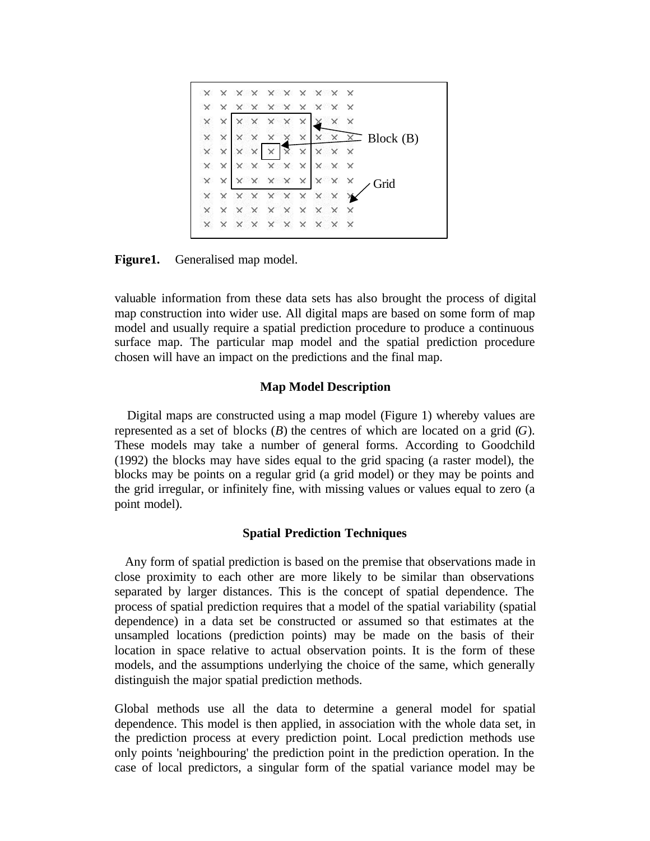$$
\times
$$
 
$$
\times
$$
 
$$
\times
$$
 
$$
\times
$$
 
$$
\times
$$
 
$$
\times
$$
 
$$
\times
$$
 
$$
\times
$$
 
$$
\times
$$
 
$$
\times
$$
 
$$
\times
$$
 
$$
\times
$$
 
$$
\times
$$
 
$$
\times
$$
 
$$
\times
$$
 
$$
\times
$$
 
$$
\times
$$
 
$$
\times
$$
 
$$
\times
$$
 
$$
\times
$$
 
$$
\times
$$
 
$$
\times
$$
 
$$
\times
$$
 
$$
\times
$$
 
$$
\times
$$
 
$$
\times
$$
 
$$
\times
$$
 
$$
\times
$$
 
$$
\times
$$
 
$$
\times
$$
 
$$
\times
$$
 
$$
\times
$$
 
$$
\times
$$
 
$$
\times
$$
 
$$
\times
$$
 
$$
\times
$$
 
$$
\times
$$
 
$$
\times
$$
 
$$
\times
$$
 
$$
\times
$$
 
$$
\times
$$
 
$$
\times
$$
 
$$
\times
$$
 
$$
\times
$$
 
$$
\times
$$
 
$$
\times
$$
 
$$
\times
$$
 
$$
\times
$$
 
$$
\times
$$
 
$$
\times
$$
 
$$
\times
$$
 
$$
\times
$$
 
$$
\times
$$
 
$$
\times
$$
 
$$
\times
$$
 
$$
\times
$$
 
$$
\times
$$
 
$$
\times
$$
 
$$
\times
$$
 
$$
\times
$$
 
$$
\times
$$
 
$$
\times
$$
 
$$
\times
$$
 
$$
\times
$$
 
$$
\times
$$
 
$$
\times
$$
 
$$
\times
$$
 
$$
\times
$$
 
$$
\times
$$
 
$$
\times
$$
 
$$
\times
$$
 
$$
\times
$$
 
$$
\times
$$
 
$$
\times
$$
 
$$
\times
$$
 
$$
\times
$$
 <math display="block</math>

**Figure1.** Generalised map model.

valuable information from these data sets has also brought the process of digital map construction into wider use. All digital maps are based on some form of map model and usually require a spatial prediction procedure to produce a continuous surface map. The particular map model and the spatial prediction procedure chosen will have an impact on the predictions and the final map.

# **Map Model Description**

 Digital maps are constructed using a map model (Figure 1) whereby values are represented as a set of blocks (*B*) the centres of which are located on a grid (*G*). These models may take a number of general forms. According to Goodchild (1992) the blocks may have sides equal to the grid spacing (a raster model), the blocks may be points on a regular grid (a grid model) or they may be points and the grid irregular, or infinitely fine, with missing values or values equal to zero (a point model).

# **Spatial Prediction Techniques**

 Any form of spatial prediction is based on the premise that observations made in close proximity to each other are more likely to be similar than observations separated by larger distances. This is the concept of spatial dependence. The process of spatial prediction requires that a model of the spatial variability (spatial dependence) in a data set be constructed or assumed so that estimates at the unsampled locations (prediction points) may be made on the basis of their location in space relative to actual observation points. It is the form of these models, and the assumptions underlying the choice of the same, which generally distinguish the major spatial prediction methods.

Global methods use all the data to determine a general model for spatial dependence. This model is then applied, in association with the whole data set, in the prediction process at every prediction point. Local prediction methods use only points 'neighbouring' the prediction point in the prediction operation. In the case of local predictors, a singular form of the spatial variance model may be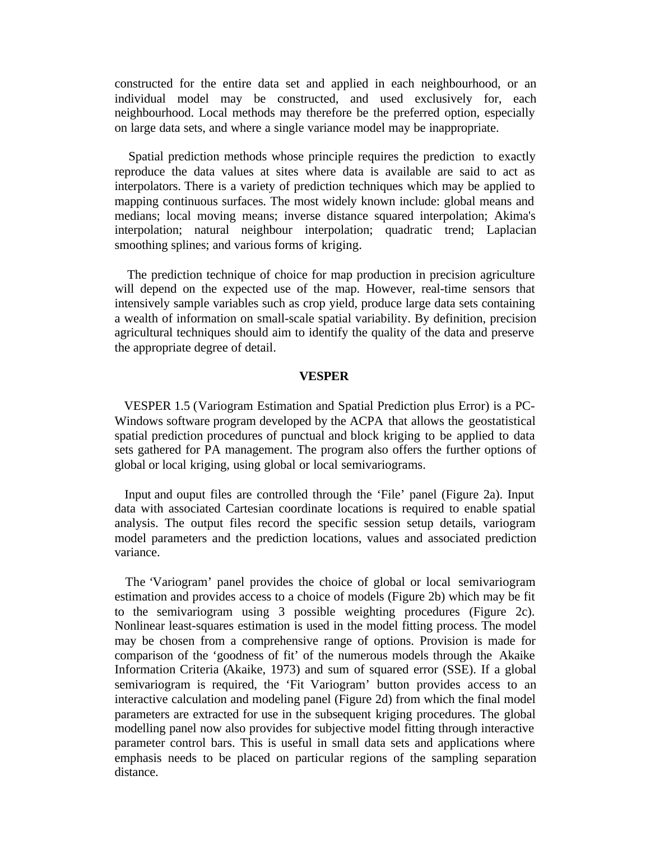constructed for the entire data set and applied in each neighbourhood, or an individual model may be constructed, and used exclusively for, each neighbourhood. Local methods may therefore be the preferred option, especially on large data sets, and where a single variance model may be inappropriate.

 Spatial prediction methods whose principle requires the prediction to exactly reproduce the data values at sites where data is available are said to act as interpolators. There is a variety of prediction techniques which may be applied to mapping continuous surfaces. The most widely known include: global means and medians; local moving means; inverse distance squared interpolation; Akima's interpolation; natural neighbour interpolation; quadratic trend; Laplacian smoothing splines; and various forms of kriging.

 The prediction technique of choice for map production in precision agriculture will depend on the expected use of the map. However, real-time sensors that intensively sample variables such as crop yield, produce large data sets containing a wealth of information on small-scale spatial variability. By definition, precision agricultural techniques should aim to identify the quality of the data and preserve the appropriate degree of detail.

### **VESPER**

 VESPER 1.5 (Variogram Estimation and Spatial Prediction plus Error) is a PC-Windows software program developed by the ACPA that allows the geostatistical spatial prediction procedures of punctual and block kriging to be applied to data sets gathered for PA management. The program also offers the further options of global or local kriging, using global or local semivariograms.

 Input and ouput files are controlled through the 'File' panel (Figure 2a). Input data with associated Cartesian coordinate locations is required to enable spatial analysis. The output files record the specific session setup details, variogram model parameters and the prediction locations, values and associated prediction variance.

 The 'Variogram' panel provides the choice of global or local semivariogram estimation and provides access to a choice of models (Figure 2b) which may be fit to the semivariogram using 3 possible weighting procedures (Figure 2c). Nonlinear least-squares estimation is used in the model fitting process. The model may be chosen from a comprehensive range of options. Provision is made for comparison of the 'goodness of fit' of the numerous models through the Akaike Information Criteria (Akaike, 1973) and sum of squared error (SSE). If a global semivariogram is required, the 'Fit Variogram' button provides access to an interactive calculation and modeling panel (Figure 2d) from which the final model parameters are extracted for use in the subsequent kriging procedures. The global modelling panel now also provides for subjective model fitting through interactive parameter control bars. This is useful in small data sets and applications where emphasis needs to be placed on particular regions of the sampling separation distance.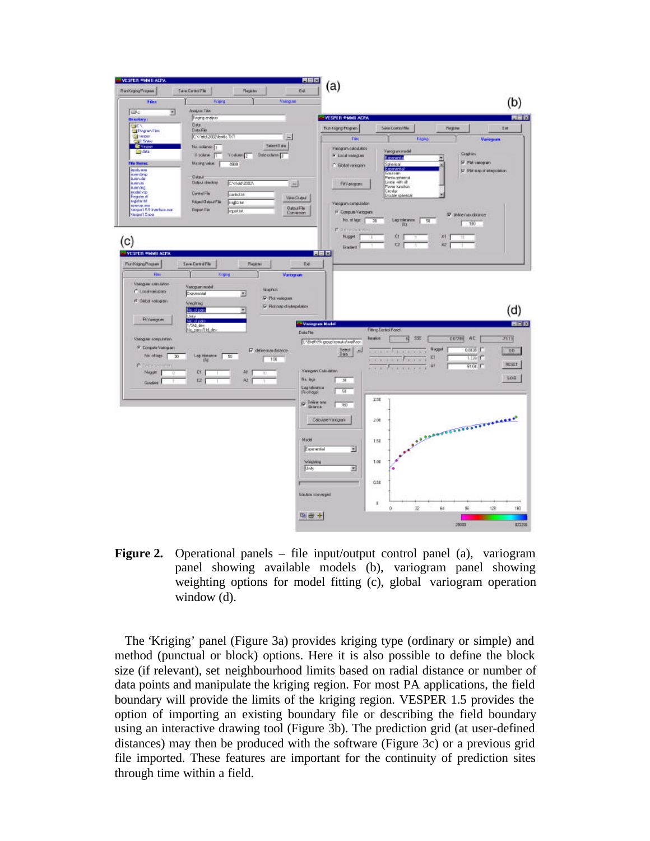

**Figure 2.** Operational panels – file input/output control panel (a), variogram panel showing available models (b), variogram panel showing weighting options for model fitting (c), global variogram operation window (d).

 The 'Kriging' panel (Figure 3a) provides kriging type (ordinary or simple) and method (punctual or block) options. Here it is also possible to define the block size (if relevant), set neighbourhood limits based on radial distance or number of data points and manipulate the kriging region. For most PA applications, the field boundary will provide the limits of the kriging region. VESPER 1.5 provides the option of importing an existing boundary file or describing the field boundary using an interactive drawing tool (Figure 3b). The prediction grid (at user-defined distances) may then be produced with the software (Figure 3c) or a previous grid file imported. These features are important for the continuity of prediction sites through time within a field.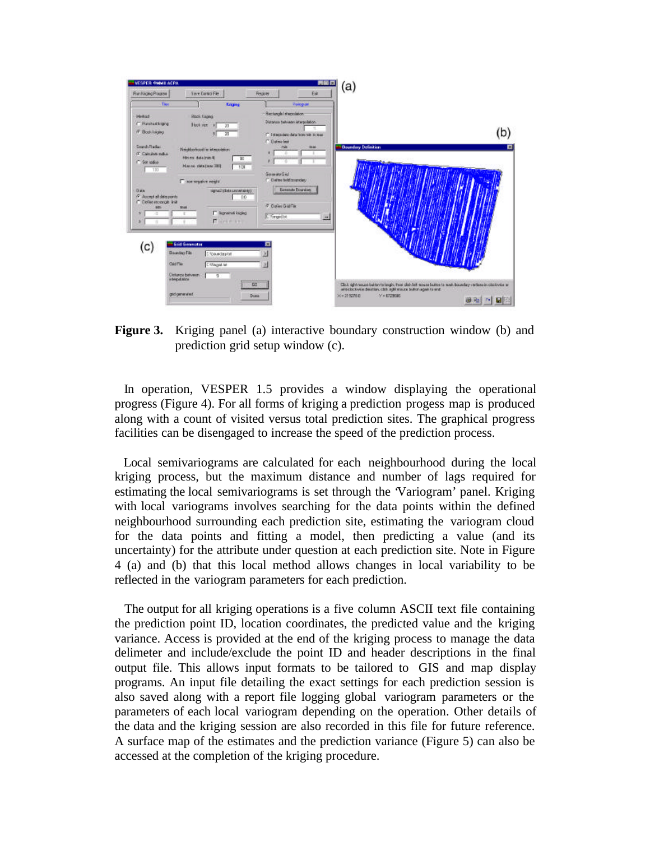

**Figure 3.** Kriging panel (a) interactive boundary construction window (b) and prediction grid setup window (c).

 In operation, VESPER 1.5 provides a window displaying the operational progress (Figure 4). For all forms of kriging a prediction progess map is produced along with a count of visited versus total prediction sites. The graphical progress facilities can be disengaged to increase the speed of the prediction process.

 Local semivariograms are calculated for each neighbourhood during the local kriging process, but the maximum distance and number of lags required for estimating the local semivariograms is set through the 'Variogram' panel. Kriging with local variograms involves searching for the data points within the defined neighbourhood surrounding each prediction site, estimating the variogram cloud for the data points and fitting a model, then predicting a value (and its uncertainty) for the attribute under question at each prediction site. Note in Figure 4 (a) and (b) that this local method allows changes in local variability to be reflected in the variogram parameters for each prediction.

 The output for all kriging operations is a five column ASCII text file containing the prediction point ID, location coordinates, the predicted value and the kriging variance. Access is provided at the end of the kriging process to manage the data delimeter and include/exclude the point ID and header descriptions in the final output file. This allows input formats to be tailored to GIS and map display programs. An input file detailing the exact settings for each prediction session is also saved along with a report file logging global variogram parameters or the parameters of each local variogram depending on the operation. Other details of the data and the kriging session are also recorded in this file for future reference. A surface map of the estimates and the prediction variance (Figure 5) can also be accessed at the completion of the kriging procedure.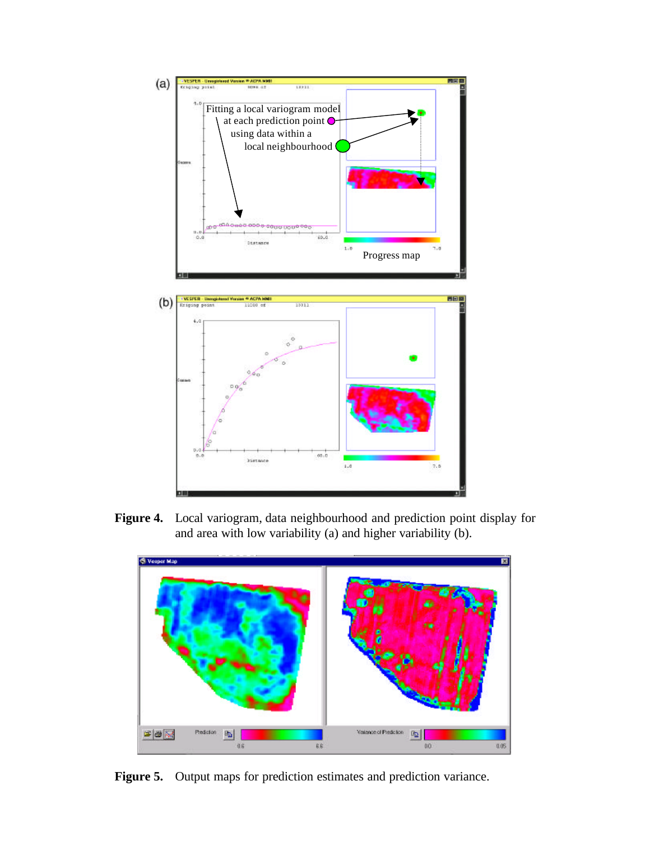

**Figure 4.** Local variogram, data neighbourhood and prediction point display for and area with low variability (a) and higher variability (b).



Figure 5. Output maps for prediction estimates and prediction variance.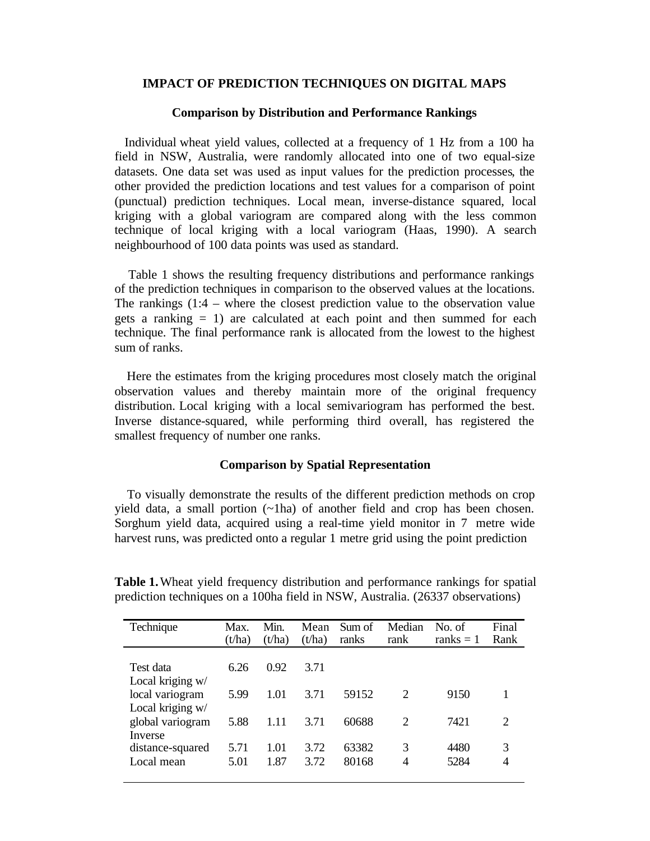### **IMPACT OF PREDICTION TECHNIQUES ON DIGITAL MAPS**

### **Comparison by Distribution and Performance Rankings**

 Individual wheat yield values, collected at a frequency of 1 Hz from a 100 ha field in NSW, Australia, were randomly allocated into one of two equal-size datasets. One data set was used as input values for the prediction processes, the other provided the prediction locations and test values for a comparison of point (punctual) prediction techniques. Local mean, inverse-distance squared, local kriging with a global variogram are compared along with the less common technique of local kriging with a local variogram (Haas, 1990). A search neighbourhood of 100 data points was used as standard.

 Table 1 shows the resulting frequency distributions and performance rankings of the prediction techniques in comparison to the observed values at the locations. The rankings (1:4 – where the closest prediction value to the observation value gets a ranking  $= 1$ ) are calculated at each point and then summed for each technique. The final performance rank is allocated from the lowest to the highest sum of ranks.

 Here the estimates from the kriging procedures most closely match the original observation values and thereby maintain more of the original frequency distribution. Local kriging with a local semivariogram has performed the best. Inverse distance-squared, while performing third overall, has registered the smallest frequency of number one ranks.

# **Comparison by Spatial Representation**

 To visually demonstrate the results of the different prediction methods on crop yield data, a small portion (~1ha) of another field and crop has been chosen. Sorghum yield data, acquired using a real-time yield monitor in 7 metre wide harvest runs, was predicted onto a regular 1 metre grid using the point prediction

| Technique                           | Max.<br>(t/ha) | Min.<br>(t/ha) | Mean<br>(t/ha) | Sum of<br>ranks | Median<br>rank              | No. of<br>ranks $= 1$ | Final<br>Rank |
|-------------------------------------|----------------|----------------|----------------|-----------------|-----------------------------|-----------------------|---------------|
| Test data<br>Local kriging w/       | 6.26           | 0.92           | 3.71           |                 |                             |                       |               |
| local variogram<br>Local kriging w/ | 5.99           | 1.01           | 3.71           | 59152           | 2                           | 9150                  |               |
| global variogram<br>Inverse         | 5.88           | 1.11           | 3.71           | 60688           | $\mathcal{D}_{\mathcal{L}}$ | 7421                  | 2             |
| distance-squared<br>Local mean      | 5.71<br>5.01   | 1.01<br>1.87   | 3.72<br>3.72   | 63382<br>80168  | 3<br>4                      | 4480<br>5284          | 3<br>4        |

**Table 1.**Wheat yield frequency distribution and performance rankings for spatial prediction techniques on a 100ha field in NSW, Australia. (26337 observations)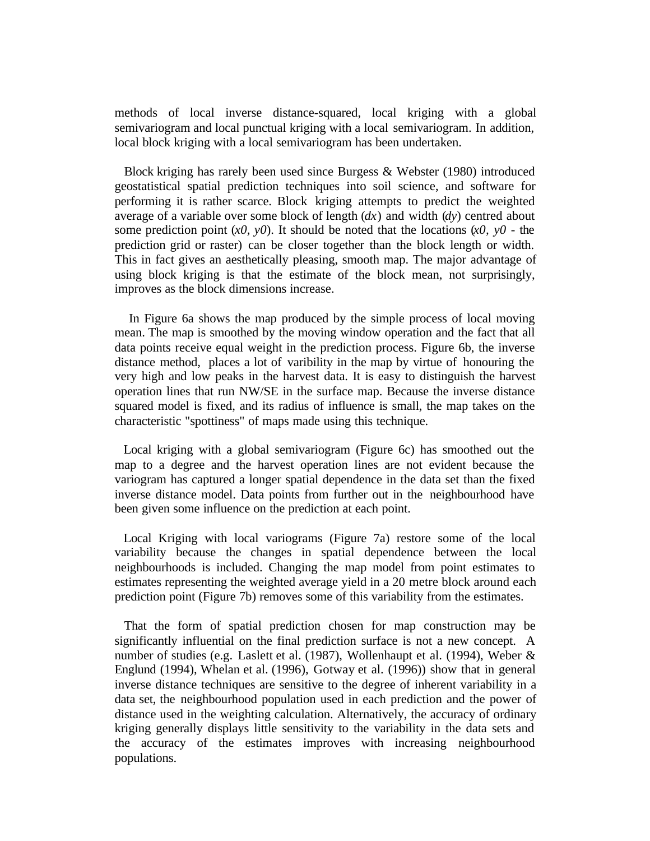methods of local inverse distance-squared, local kriging with a global semivariogram and local punctual kriging with a local semivariogram. In addition, local block kriging with a local semivariogram has been undertaken.

 Block kriging has rarely been used since Burgess & Webster (1980) introduced geostatistical spatial prediction techniques into soil science, and software for performing it is rather scarce. Block kriging attempts to predict the weighted average of a variable over some block of length (*dx*) and width (*dy*) centred about some prediction point  $(x0, y0)$ . It should be noted that the locations  $(x0, y0)$  - the prediction grid or raster) can be closer together than the block length or width. This in fact gives an aesthetically pleasing, smooth map. The major advantage of using block kriging is that the estimate of the block mean, not surprisingly, improves as the block dimensions increase.

 In Figure 6a shows the map produced by the simple process of local moving mean. The map is smoothed by the moving window operation and the fact that all data points receive equal weight in the prediction process. Figure 6b, the inverse distance method, places a lot of varibility in the map by virtue of honouring the very high and low peaks in the harvest data. It is easy to distinguish the harvest operation lines that run NW/SE in the surface map. Because the inverse distance squared model is fixed, and its radius of influence is small, the map takes on the characteristic "spottiness" of maps made using this technique.

 Local kriging with a global semivariogram (Figure 6c) has smoothed out the map to a degree and the harvest operation lines are not evident because the variogram has captured a longer spatial dependence in the data set than the fixed inverse distance model. Data points from further out in the neighbourhood have been given some influence on the prediction at each point.

 Local Kriging with local variograms (Figure 7a) restore some of the local variability because the changes in spatial dependence between the local neighbourhoods is included. Changing the map model from point estimates to estimates representing the weighted average yield in a 20 metre block around each prediction point (Figure 7b) removes some of this variability from the estimates.

 That the form of spatial prediction chosen for map construction may be significantly influential on the final prediction surface is not a new concept. A number of studies (e.g. Laslett et al. (1987), Wollenhaupt et al. (1994), Weber & Englund (1994), Whelan et al. (1996), Gotway et al. (1996)) show that in general inverse distance techniques are sensitive to the degree of inherent variability in a data set, the neighbourhood population used in each prediction and the power of distance used in the weighting calculation. Alternatively, the accuracy of ordinary kriging generally displays little sensitivity to the variability in the data sets and the accuracy of the estimates improves with increasing neighbourhood populations.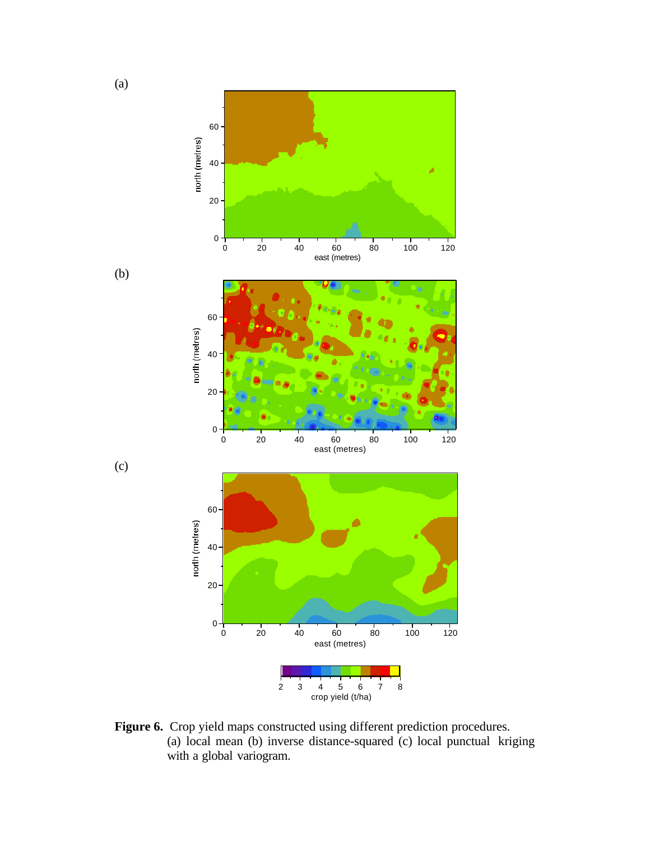

Figure 6. Crop yield maps constructed using different prediction procedures. (a) local mean (b) inverse distance-squared (c) local punctual kriging with a global variogram.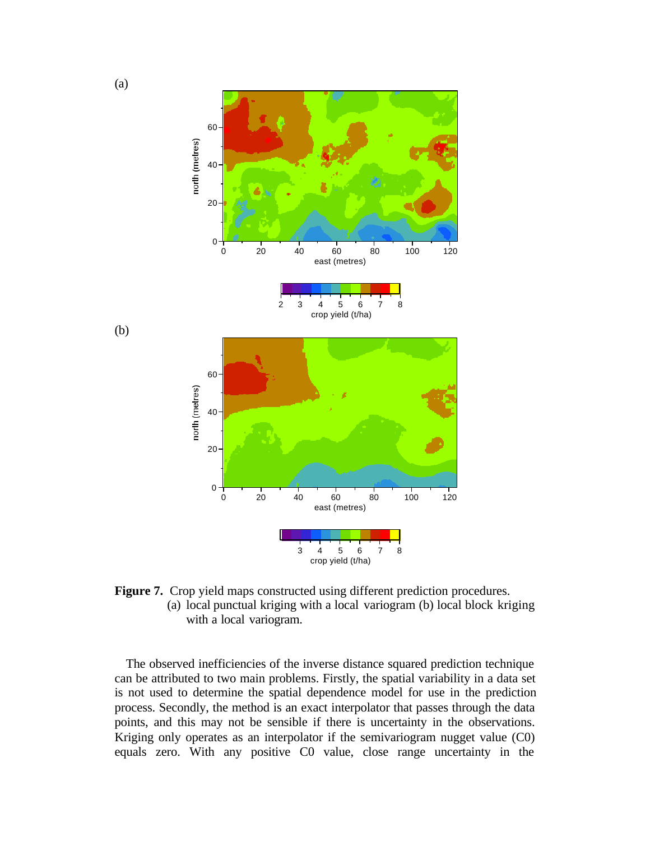

**Figure 7.** Crop yield maps constructed using different prediction procedures. (a) local punctual kriging with a local variogram (b) local block kriging with a local variogram.

 The observed inefficiencies of the inverse distance squared prediction technique can be attributed to two main problems. Firstly, the spatial variability in a data set is not used to determine the spatial dependence model for use in the prediction process. Secondly, the method is an exact interpolator that passes through the data points, and this may not be sensible if there is uncertainty in the observations. Kriging only operates as an interpolator if the semivariogram nugget value (C0) equals zero. With any positive C0 value, close range uncertainty in the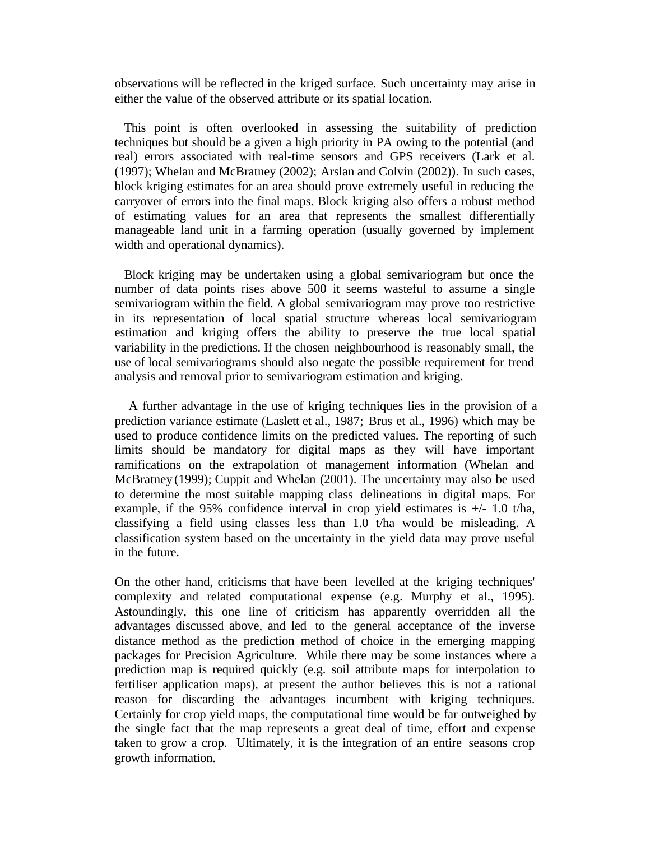observations will be reflected in the kriged surface. Such uncertainty may arise in either the value of the observed attribute or its spatial location.

 This point is often overlooked in assessing the suitability of prediction techniques but should be a given a high priority in PA owing to the potential (and real) errors associated with real-time sensors and GPS receivers (Lark et al. (1997); Whelan and McBratney (2002); Arslan and Colvin (2002)). In such cases, block kriging estimates for an area should prove extremely useful in reducing the carryover of errors into the final maps. Block kriging also offers a robust method of estimating values for an area that represents the smallest differentially manageable land unit in a farming operation (usually governed by implement width and operational dynamics).

 Block kriging may be undertaken using a global semivariogram but once the number of data points rises above 500 it seems wasteful to assume a single semivariogram within the field. A global semivariogram may prove too restrictive in its representation of local spatial structure whereas local semivariogram estimation and kriging offers the ability to preserve the true local spatial variability in the predictions. If the chosen neighbourhood is reasonably small, the use of local semivariograms should also negate the possible requirement for trend analysis and removal prior to semivariogram estimation and kriging.

 A further advantage in the use of kriging techniques lies in the provision of a prediction variance estimate (Laslett et al., 1987; Brus et al., 1996) which may be used to produce confidence limits on the predicted values. The reporting of such limits should be mandatory for digital maps as they will have important ramifications on the extrapolation of management information (Whelan and McBratney (1999); Cuppit and Whelan (2001). The uncertainty may also be used to determine the most suitable mapping class delineations in digital maps. For example, if the 95% confidence interval in crop yield estimates is  $+/- 1.0$  t/ha, classifying a field using classes less than 1.0 t/ha would be misleading. A classification system based on the uncertainty in the yield data may prove useful in the future.

On the other hand, criticisms that have been levelled at the kriging techniques' complexity and related computational expense (e.g. Murphy et al., 1995). Astoundingly, this one line of criticism has apparently overridden all the advantages discussed above, and led to the general acceptance of the inverse distance method as the prediction method of choice in the emerging mapping packages for Precision Agriculture. While there may be some instances where a prediction map is required quickly (e.g. soil attribute maps for interpolation to fertiliser application maps), at present the author believes this is not a rational reason for discarding the advantages incumbent with kriging techniques. Certainly for crop yield maps, the computational time would be far outweighed by the single fact that the map represents a great deal of time, effort and expense taken to grow a crop. Ultimately, it is the integration of an entire seasons crop growth information.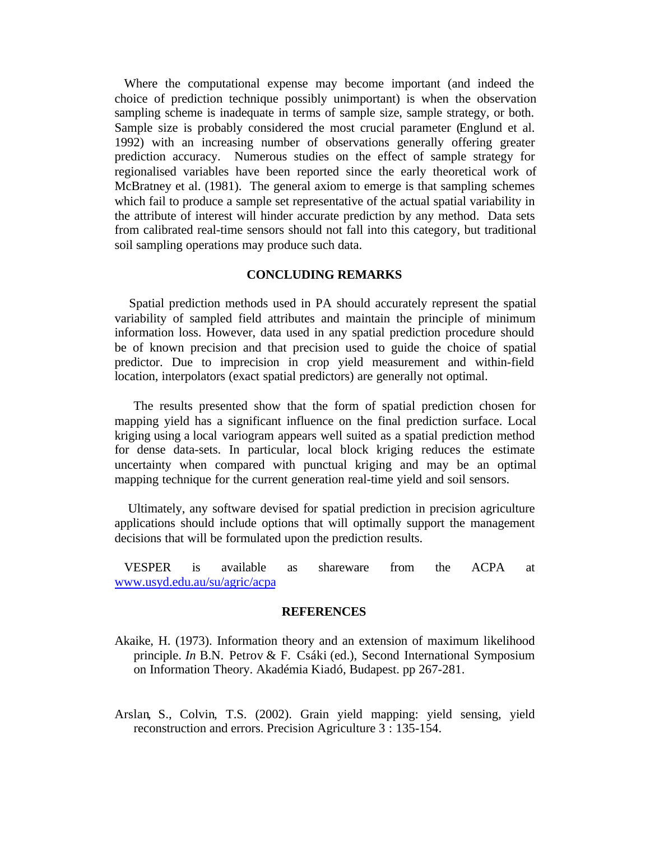Where the computational expense may become important (and indeed the choice of prediction technique possibly unimportant) is when the observation sampling scheme is inadequate in terms of sample size, sample strategy, or both. Sample size is probably considered the most crucial parameter (Englund et al. 1992) with an increasing number of observations generally offering greater prediction accuracy. Numerous studies on the effect of sample strategy for regionalised variables have been reported since the early theoretical work of McBratney et al. (1981). The general axiom to emerge is that sampling schemes which fail to produce a sample set representative of the actual spatial variability in the attribute of interest will hinder accurate prediction by any method. Data sets from calibrated real-time sensors should not fall into this category, but traditional soil sampling operations may produce such data.

# **CONCLUDING REMARKS**

 Spatial prediction methods used in PA should accurately represent the spatial variability of sampled field attributes and maintain the principle of minimum information loss. However, data used in any spatial prediction procedure should be of known precision and that precision used to guide the choice of spatial predictor. Due to imprecision in crop yield measurement and within-field location, interpolators (exact spatial predictors) are generally not optimal.

 The results presented show that the form of spatial prediction chosen for mapping yield has a significant influence on the final prediction surface. Local kriging using a local variogram appears well suited as a spatial prediction method for dense data-sets. In particular, local block kriging reduces the estimate uncertainty when compared with punctual kriging and may be an optimal mapping technique for the current generation real-time yield and soil sensors.

 Ultimately, any software devised for spatial prediction in precision agriculture applications should include options that will optimally support the management decisions that will be formulated upon the prediction results.

 VESPER is available as shareware from the ACPA at www.usyd.edu.au/su/agric/acpa

#### **REFERENCES**

- Akaike, H. (1973). Information theory and an extension of maximum likelihood principle. *In* B.N. Petrov & F. Csáki (ed.), Second International Symposium on Information Theory. Akadémia Kiadó, Budapest. pp 267-281.
- Arslan, S., Colvin, T.S. (2002). Grain yield mapping: yield sensing, yield reconstruction and errors. Precision Agriculture 3 : 135-154.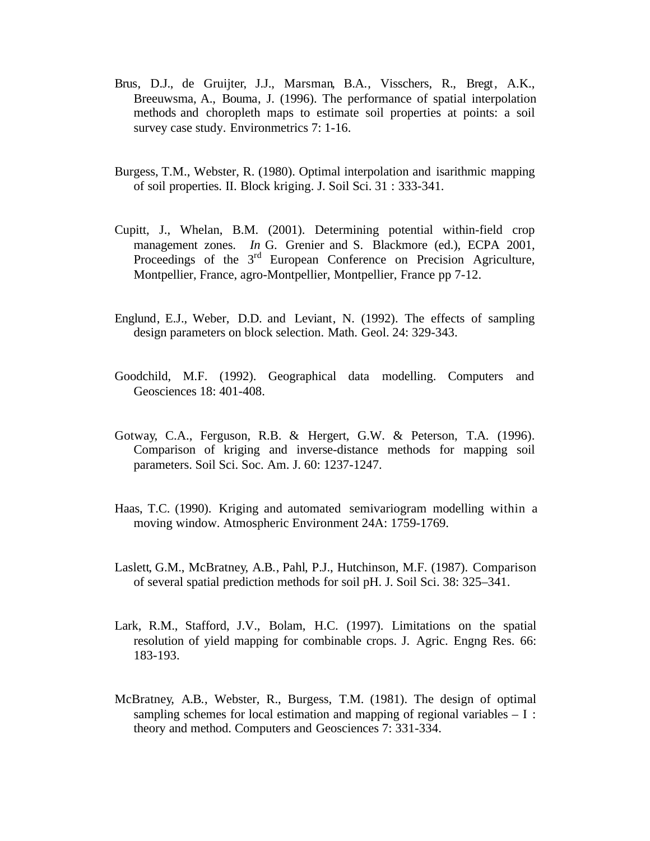- Brus, D.J., de Gruijter, J.J., Marsman, B.A., Visschers, R., Bregt, A.K., Breeuwsma, A., Bouma, J. (1996). The performance of spatial interpolation methods and choropleth maps to estimate soil properties at points: a soil survey case study. Environmetrics 7: 1-16.
- Burgess, T.M., Webster, R. (1980). Optimal interpolation and isarithmic mapping of soil properties. II. Block kriging. J. Soil Sci. 31 : 333-341.
- Cupitt, J., Whelan, B.M. (2001). Determining potential within-field crop management zones. *In* G. Grenier and S. Blackmore (ed.), ECPA 2001, Proceedings of the 3<sup>rd</sup> European Conference on Precision Agriculture, Montpellier, France, agro-Montpellier, Montpellier, France pp 7-12.
- Englund, E.J., Weber, D.D. and Leviant, N. (1992). The effects of sampling design parameters on block selection. Math. Geol. 24: 329-343.
- Goodchild, M.F. (1992). Geographical data modelling. Computers and Geosciences 18: 401-408.
- Gotway, C.A., Ferguson, R.B. & Hergert, G.W. & Peterson, T.A. (1996). Comparison of kriging and inverse-distance methods for mapping soil parameters. Soil Sci. Soc. Am. J. 60: 1237-1247.
- Haas, T.C. (1990). Kriging and automated semivariogram modelling within a moving window. Atmospheric Environment 24A: 1759-1769.
- Laslett, G.M., McBratney, A.B., Pahl, P.J., Hutchinson, M.F. (1987). Comparison of several spatial prediction methods for soil pH. J. Soil Sci. 38: 325–341.
- Lark, R.M., Stafford, J.V., Bolam, H.C. (1997). Limitations on the spatial resolution of yield mapping for combinable crops. J. Agric. Engng Res. 66: 183-193.
- McBratney, A.B., Webster, R., Burgess, T.M. (1981). The design of optimal sampling schemes for local estimation and mapping of regional variables  $-1$ : theory and method. Computers and Geosciences 7: 331-334.